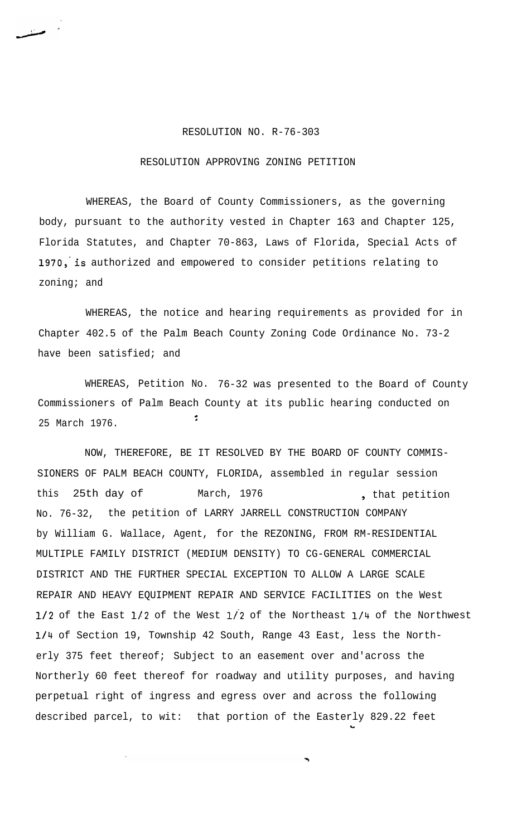## RESOLUTION NO. R-76-303

## RESOLUTION APPROVING ZONING PETITION

WHEREAS, the Board of County Commissioners, as the governing body, pursuant to the authority vested in Chapter 163 and Chapter 125, Florida Statutes, and Chapter 70-863, Laws of Florida, Special Acts of 1970, is authorized and empowered to consider petitions relating to zoning; and

WHEREAS, the notice and hearing requirements as provided for in Chapter 402.5 of the Palm Beach County Zoning Code Ordinance No. 73-2 have been satisfied; and

WHEREAS, Petition No. 76-32 was presented to the Board of County Commissioners of Palm Beach County at its public hearing conducted on I 25 March 1976.

NOW, THEREFORE, BE IT RESOLVED BY THE BOARD OF COUNTY COMMIS-SIONERS OF PALM BEACH COUNTY, FLORIDA, assembled in regular session this 25th day of March, 1976 **(a)** that petition No. 76-32, the petition of LARRY JARRELL CONSTRUCTION COMPANY by William G. Wallace, Agent, for the REZONING, FROM RM-RESIDENTIAL MULTIPLE FAMILY DISTRICT (MEDIUM DENSITY) TO CG-GENERAL COMMERCIAL DISTRICT AND THE FURTHER SPECIAL EXCEPTION TO ALLOW A LARGE SCALE REPAIR AND HEAVY EQUIPMENT REPAIR AND SERVICE FACILITIES on the West  $1/2$  of the East  $1/2$  of the West  $1/2$  of the Northeast  $1/4$  of the Northwest l/4 of Section 19, Township 42 South, Range 43 East, less the Northerly 375 feet thereof; Subject to an easement over and'across the Northerly 60 feet thereof for roadway and utility purposes, and having perpetual right of ingress and egress over and across the following described parcel, to wit: that portion of the Easterly 829.22 feet

c